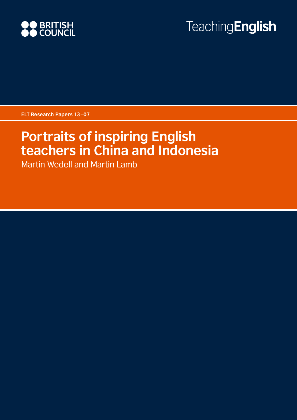

# **TeachingEnglish**

**ELT Research Papers 13–07**

# **Portraits of inspiring English teachers in China and Indonesia**

Martin Wedell and Martin Lamb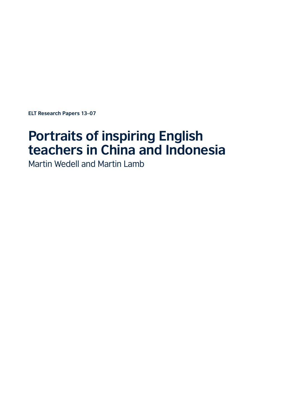**ELT Research Papers 13–07**

# **Portraits of inspiring English teachers in China and Indonesia**

Martin Wedell and Martin Lamb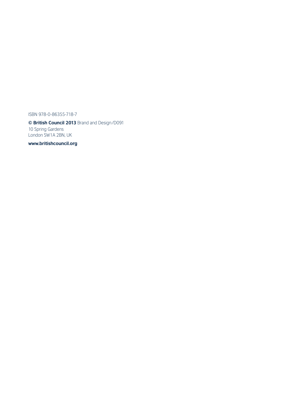ISBN 978-0-86355-718-7

**© British Council 2013** Brand and Design/D091 10 Spring Gardens London SW1A 2BN, UK

**<www.britishcouncil.org>**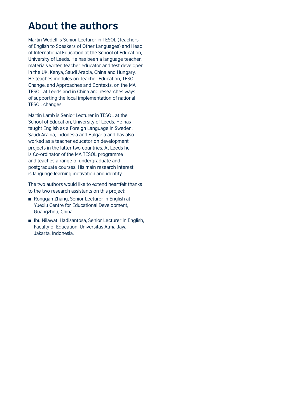## **About the authors**

Martin Wedell is Senior Lecturer in TESOL (Teachers of English to Speakers of Other Languages) and Head of International Education at the School of Education, University of Leeds. He has been a language teacher, materials writer, teacher educator and test developer in the UK, Kenya, Saudi Arabia, China and Hungary. He teaches modules on Teacher Education, TESOL Change, and Approaches and Contexts, on the MA TESOL at Leeds and in China and researches ways of supporting the local implementation of national TESOL changes.

Martin Lamb is Senior Lecturer in TESOL at the School of Education, University of Leeds. He has taught English as a Foreign Language in Sweden, Saudi Arabia, Indonesia and Bulgaria and has also worked as a teacher educator on development projects in the latter two countries. At Leeds he is Co-ordinator of the MA TESOL programme and teaches a range of undergraduate and postgraduate courses. His main research interest is language learning motivation and identity.

The two authors would like to extend heartfelt thanks to the two research assistants on this project:

- Ronggan Zhang, Senior Lecturer in English at Yuexiu Centre for Educational Development, Guangzhou, China.
- Ibu Nilawati Hadisantosa, Senior Lecturer in English, Faculty of Education, Universitas Atma Jaya, Jakarta, Indonesia.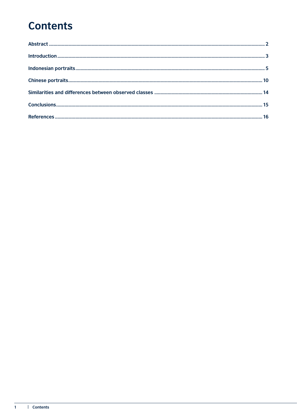# **Contents**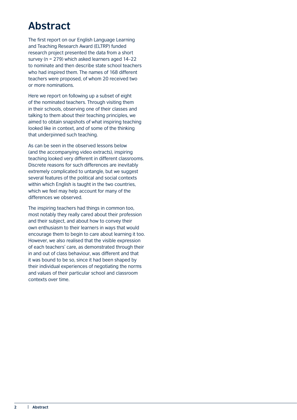## <span id="page-5-0"></span>**Abstract**

The first report on our English Language Learning and Teaching Research Award (ELTRP) funded research project presented the data from a short survey (n = 279) which asked learners aged 14–22 to nominate and then describe state school teachers who had inspired them. The names of 168 different teachers were proposed, of whom 20 received two or more nominations.

Here we report on following up a subset of eight of the nominated teachers. Through visiting them in their schools, observing one of their classes and talking to them about their teaching principles, we aimed to obtain snapshots of what inspiring teaching looked like in context, and of some of the thinking that underpinned such teaching.

As can be seen in the observed lessons below (and the accompanying video extracts), inspiring teaching looked very different in different classrooms. Discrete reasons for such differences are inevitably extremely complicated to untangle, but we suggest several features of the political and social contexts within which English is taught in the two countries, which we feel may help account for many of the differences we observed.

The inspiring teachers had things in common too, most notably they really cared about their profession and their subject, and about how to convey their own enthusiasm to their learners in ways that would encourage them to begin to care about learning it too. However, we also realised that the visible expression of each teachers' care, as demonstrated through their in and out of class behaviour, was different and that it was bound to be so, since it had been shaped by their individual experiences of negotiating the norms and values of their particular school and classroom contexts over time.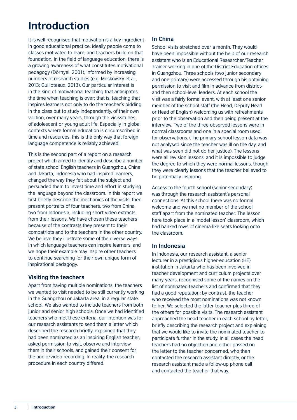# <span id="page-6-0"></span>**Introduction**

It is well recognised that motivation is a key ingredient in good educational practice: ideally people come to classes motivated to learn, and teachers build on that foundation. In the field of language education, there is a growing awareness of what constitutes motivational pedagogy (Dörnyei, 2001), informed by increasing numbers of research studies (e.g. Moskovsky et al., 2013; Guilloteaux, 2013). Our particular interest is in the kind of motivational teaching that anticipates the time when teaching is over; that is, teaching that inspires learners not only to do the teacher's bidding in the class but to study independently, of their own volition, over many years, through the vicissitudes of adolescent or young adult life. Especially in global contexts where formal education is circumscribed in time and resources, this is the only way that foreign language competence is reliably achieved.

This is the second part of a report on a research project which aimed to identify and describe a number of state school English teachers in Guangzhou, China and Jakarta, Indonesia who had inspired learners, changed the way they felt about the subject and persuaded them to invest time and effort in studying the language beyond the classroom. In this report we first briefly describe the mechanics of the visits, then present portraits of four teachers, two from China, two from Indonesia, including short video extracts from their lessons. We have chosen these teachers because of the contrasts they present to their compatriots and to the teachers in the other country. We believe they illustrate some of the diverse ways in which language teachers can inspire learners, and we hope their example may inspire other teachers to continue searching for their own unique form of inspirational pedagogy.

#### **Visiting the teachers**

Apart from having multiple nominations, the teachers we wanted to visit needed to be still currently working in the Guangzhou or Jakarta area, in a regular state school. We also wanted to include teachers from both junior and senior high schools. Once we had identified teachers who met these criteria, our intention was for our research assistants to send them a letter which described the research briefly, explained that they had been nominated as an inspiring English teacher, asked permission to visit, observe and interview them in their schools, and gained their consent for the audio/video recording. In reality, the research procedure in each country differed.

#### **In China**

School visits stretched over a month. They would have been impossible without the help of our research assistant who is an Educational Researcher/Teacher Trainer working in one of the District Education offices in Guangzhou. Three schools (two junior secondary and one primary) were accessed through his obtaining permission to visit and film in advance from districtand then school-level leaders. At each school the visit was a fairly formal event, with at least one senior member of the school staff (the Head, Deputy Head or Head of English) welcoming us with refreshments prior to the observation and then being present at the interview. Two of the three observed lessons were in normal classrooms and one in a special room used for observations. (The primary school lesson data was not analysed since the teacher was ill on the day, and what was seen did not do her justice). The lessons were all revision lessons, and it is impossible to judge the degree to which they were normal lessons, though they were clearly lessons that the teacher believed to be potentially inspiring.

Access to the fourth school (senior secondary) was through the research assistant's personal connections. At this school there was no formal welcome and we met no member of the school staff apart from the nominated teacher. The lesson here took place in a 'model lesson' classroom, which had banked rows of cinema-like seats looking onto the classroom.

#### **In Indonesia**

In Indonesia, our research assistant, a senior lecturer in a prestigious higher-education (HE) institution in Jakarta who has been involved in teacher development and curriculum projects over many years, recognised some of the names on the list of nominated teachers and confirmed that they had a good reputation; by contrast, the teacher who received the most nominations was not known to her. We selected the latter teacher plus three of the others for possible visits. The research assistant approached the head teacher in each school by letter, briefly describing the research project and explaining that we would like to invite the nominated teacher to participate further in the study. In all cases the head teachers had no objection and either passed on the letter to the teacher concerned, who then contacted the research assistant directly, or the research assistant made a follow-up phone call and contacted the teacher that way.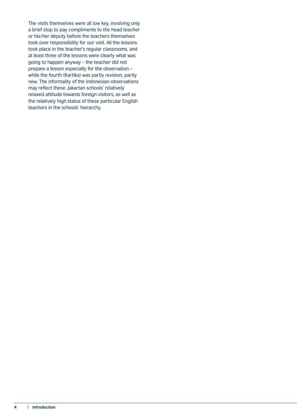The visits themselves were all low key, involving only a brief stop to pay compliments to the head teacher or his/her deputy before the teachers themselves took over responsibility for our visit. All the lessons took place in the teacher's regular classrooms, and at least three of the lessons were clearly what was going to happen anyway – the teacher did not prepare a lesson especially for the observation – while the fourth (Kartika) was partly revision, partly new. The informality of the Indonesian observations may reflect these Jakartan schools' relatively relaxed attitude towards foreign visitors, as well as the relatively high status of these particular English teachers in the schools' hierarchy.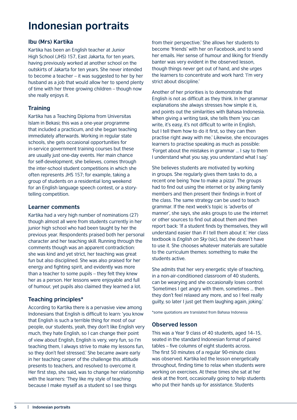## <span id="page-8-0"></span>**Indonesian portraits**

#### **Ibu (Mrs) Kartika**

Kartika has been an English teacher at Junior High School (JHS) 157, East Jakarta, for ten years, having previously worked at another school on the outskirts of Jakarta for ten years. She never intended to become a teacher – it was suggested to her by her husband as a job that would allow her to spend plenty of time with her three growing children – though now she really enjoys it.

#### **Training**

Kartika has a Teaching Diploma from Universitas Islam in Bekasi; this was a one-year programme that included a practicum, and she began teaching immediately afterwards. Working in regular state schools, she gets occasional opportunities for in-service government training courses but these are usually just one-day events. Her main chance for self-development, she believes, comes through the inter-school student competitions in which she often represents JHS 157; for example, taking a group of students on a residential long weekend for an English language speech contest, or a storytelling competition.

#### **Learner comments**

Kartika had a very high number of nominations (27) though almost all were from students currently in her junior high school who had been taught by her the previous year. Respondents praised both her personal character and her teaching skill. Running through the comments though was an apparent contradiction: she was kind and yet strict, her teaching was great fun but also disciplined. She was also praised for her energy and fighting spirit, and evidently was more than a teacher to some pupils – they felt they knew her as a person. Her lessons were enjoyable and full of humour, yet pupils also claimed they learned a lot.

#### **Teaching principles\***

According to Kartika there is a pervasive view among Indonesians that English is difficult to learn: 'you know that English is such a terrible thing for most of our people, our students, yeah, they don't like English very much, they hate English, so I can change their point of view about English, English is very, very fun, so I'm teaching them, I always strive to make my lessons fun, so they don't feel stressed.' She became aware early in her teaching career of the challenge this attitude presents to teachers, and resolved to overcome it. Her first step, she said, was to change her relationship with the learners: 'They like my style of teaching because I make myself as a student so I see things

from their perspective.' She allows her students to become 'friends' with her on Facebook, and to send her emails. Her sense of humour and liking for friendly banter was very evident in the observed lesson, though things never get out of hand, and she urges the learners to concentrate and work hard: 'I'm very strict about discipline.'

Another of her priorities is to demonstrate that English is not as difficult as they think. In her grammar explanations she always stresses how simple it is, and points out the similarities with Bahasa Indonesia. When giving a writing task, she tells them 'you can write, it's easy, it's not difficult to write in English, but I tell them how to do it first, so they can then practise right away with me.' Likewise, she encourages learners to practise speaking as much as possible: 'Forget about the mistakes in grammar … I say to them I understand what you say, you understand what I say.'

She believes students are motivated by working in groups. She regularly gives them tasks to do, a recent one being 'how to make a pizza'. The groups had to find out using the internet or by asking family members and then present their findings in front of the class. The same strategy can be used to teach grammar. If the next week's topic is 'adverbs of manner', she says, she asks groups to use the internet or other sources to find out about them and then report back: 'If a student finds by themselves, they will understand easier than if I tell them about it.' Her class textbook is *English on Sky* (sic), but she doesn't have to use it. She chooses whatever materials are suitable to the curriculum themes: something to make the students active.

She admits that her very energetic style of teaching, in a non-air-conditioned classroom of 40 students, can be wearying and she occasionally loses control: 'Sometimes I get angry with them, sometimes … then they don't feel relaxed any more, and so I feel really guilty, so later I just get them laughing again, joking.'

\*some quotations are translated from Bahasa Indonesia

#### **Observed lesson**

This was a Year 9 class of 40 students, aged 14–15, seated in the standard Indonesian format of paired tables – five columns of eight students across. The first 50 minutes of a regular 90-minute class was observed. Kartika led the lesson energetically throughout, finding time to relax when students were working on exercises. At these times she sat at her desk at the front, occasionally going to help students who put their hands up for assistance. Students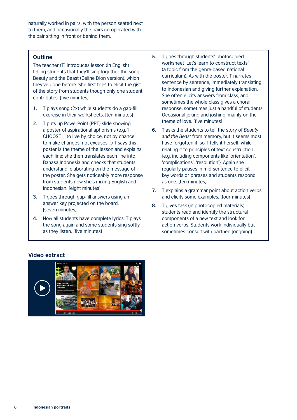naturally worked in pairs, with the person seated next to them, and occasionally the pairs co-operated with the pair sitting in front or behind them.

#### **Outline**

The teacher (T) introduces lesson (in English) telling students that they'll sing together the song Beauty and the Beast (Celine Dion version), which they've done before. She first tries to elicit the gist of the story from students though only one student contributes. [five minutes]

- **1.** T plays song (2x) while students do a gap-fill exercise in their worksheets. [ten minutes]
- **2.** T puts up PowerPoint (PPT) slide showing a poster of aspirational aphorisms (e.g. 'I CHOOSE … to live by choice, not by chance; to make changes, not excuses...') T says this poster is the theme of the lesson and explains each line; she then translates each line into Bahasa Indonesia and checks that students understand, elaborating on the message of the poster. She gets noticeably more response from students now she's mixing English and Indonesian. [eight minutes]
- **3.** T goes through gap-fill answers using an answer key projected on the board. [seven minutes]
- **4.** Now all students have complete lyrics, T plays the song again and some students sing softly as they listen. [five minutes]
- **5.** T goes through students' photocopied worksheet 'Let's learn to construct texts' (a topic from the genre-based national curriculum). As with the poster, T narrates sentence by sentence, immediately translating to Indonesian and giving further explanation. She often elicits answers from class, and sometimes the whole class gives a choral response, sometimes just a handful of students. Occasional joking and joshing, mainly on the theme of love. [five minutes]
- **6.** T asks the students to tell the story of *Beauty and the Beast* from memory, but it seems most have forgotten it, so T tells it herself, while relating it to principles of text construction (e.g. including components like 'orientation', 'complications', 'resolution'). Again she regularly pauses in mid-sentence to elicit key words or phrases and students respond as one. [ten minutes]
- **7.** T explains a grammar point about action verbs and elicits some examples. [four minutes]
- **8.** T gives task (in photocopied materials) students read and identify the structural components of a new text and look for action verbs. Students work individually but sometimes consult with partner. [ongoing]

#### **Video extract**

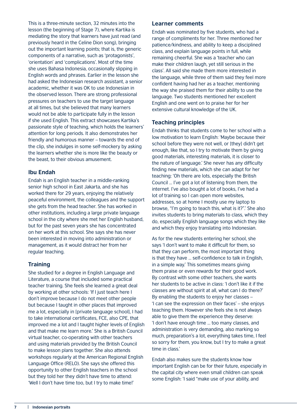This is a three-minute section, 32 minutes into the lesson (the beginning of Stage 7), where Kartika is mediating the story that learners have just read (and previously heard in the Celine Dion song), bringing out the important learning points; that is, the generic components of a narrative, such as 'protagonists', 'orientation' and 'complications'. Most of the time she uses Bahasa Indonesia, occasionally slipping in English words and phrases. Earlier in the lesson she had asked the Indonesian research assistant, a senior academic, whether it was OK to use Indonesian in the observed lesson. There are strong professional pressures on teachers to use the target language at all times, but she believed that many learners would not be able to participate fully in the lesson if she used English. This extract showcases Kartika's passionate style of teaching, which holds the learners' attention for long periods. It also demonstrates her friendly and humorous manner – towards the end of the clip, she indulges in some self-mockery by asking the learners whether she is more like the beauty or the beast, to their obvious amusement.

#### **Ibu Endah**

Endah is an English teacher in a middle-ranking senior high school in East Jakarta, and she has worked there for 29 years, enjoying the relatively peaceful environment, the colleagues and the support she gets from the head teacher. She has worked in other institutions, including a large private language school in the city where she met her English husband, but for the past seven years she has concentrated on her work at this school. She says she has never been interested in moving into administration or management, as it would distract her from her regular teaching.

#### **Training**

She studied for a degree in English Language and Literature, a course that included some practical teacher training. She feels she learned a great deal by working at other schools: 'If I just teach here I don't improve because I do not meet other people but because I taught in other places that improved me a lot, especially in [private language school], I had to take international certificates, FCE, also CPE, that improved me a lot and I taught higher levels of English and that make me learn more.' She is a British Council virtual teacher, co-operating with other teachers and using materials provided by the British Council to make lesson plans together. She also attends workshops regularly at the American Regional English Language Office (RELO). She says she offered this opportunity to other English teachers in the school but they told her they didn't have time to attend: 'Well I don't have time too, but I try to make time!'

#### **Learner comments**

Endah was nominated by five students, who had a range of compliments for her. Three mentioned her patience/kindness, and ability to keep a disciplined class, and explain language points in full, while remaining cheerful. She was a 'teacher who can make their children laugh, yet still serious in the class'. All said she made them more interested in the language, while three of them said they feel more confident having had her as a teacher, mentioning the way she praised them for their ability to use the language. Two students mentioned her excellent English and one went on to praise her for her extensive cultural knowledge of the UK.

#### **Teaching principles**

Endah thinks that students come to her school with a low motivation to learn English: 'Maybe because their school before they were not well, or [they] didn't get enough, like that, so I try to motivate them by giving good materials, interesting materials, it is closer to the nature of language.' She never has any difficulty finding new materials, which she can adapt for her teaching: 'Oh there are lots, especially the British Council … I've got a lot of listening from them, the internet. I've also bought a lot of books, I've had a lot of training so I can open more websites, addresses, so at home I mostly use my laptop to browse, "I'm going to teach this, what is it?".' She also invites students to bring materials to class, which they do, especially English language songs which they like and which they enjoy translating into Indonesian.

As for the new students entering her school, she says 'I don't want to make it difficult for them, so that they can perform, the most important thing is that they have … self-confidence to talk in English, in a simple way.' This sometimes means giving them praise or even rewards for their good work. By contrast with some other teachers, she wants her students to be active in class: 'I don't like it if the classes are without spirit at all, what can I do there?' By enabling the students to enjoy her classes – 'I can see the expression on their faces' – she enjoys teaching them. However she feels she is not always able to give them the experience they deserve: 'I don't have enough time … too many classes, and administration is very demanding, also marking so much, preparation's a lot, everything takes time, I feel so sorry for them, you know, but I try to make a great time in class.'

Endah also makes sure the students know how important English can be for their future, especially in the capital city where even small children can speak some English: 'I said "make use of your ability, and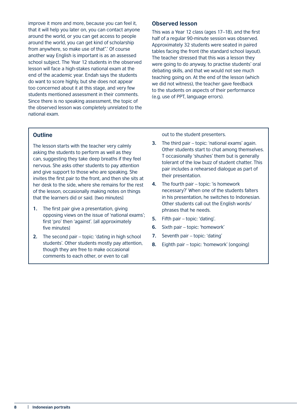improve it more and more, because you can feel it, that it will help you later on, you can contact anyone around the world, or you can get access to people around the world, you can get kind of scholarship from anywhere, so make use of that".' Of course another way English is important is as an assessed school subject. The Year 12 students in the observed lesson will face a high-stakes national exam at the end of the academic year. Endah says the students do want to score highly, but she does not appear too concerned about it at this stage, and very few students mentioned assessment in their comments. Since there is no speaking assessment, the topic of the observed lesson was completely unrelated to the national exam.

#### **Observed lesson**

This was a Year 12 class (ages 17–18), and the first half of a regular 90-minute session was observed. Approximately 32 students were seated in paired tables facing the front (the standard school layout). The teacher stressed that this was a lesson they were going to do anyway, to practise students' oral debating skills, and that we would not see much teaching going on. At the end of the lesson (which we did not witness), the teacher gave feedback to the students on aspects of their performance (e.g. use of PPT, language errors).

#### **Outline**

The lesson starts with the teacher very calmly asking the students to perform as well as they can, suggesting they take deep breaths if they feel nervous. She asks other students to pay attention and give support to those who are speaking. She invites the first pair to the front, and then she sits at her desk to the side, where she remains for the rest of the lesson, occasionally making notes on things that the learners did or said. [two minutes]

- **1.** The first pair give a presentation, giving opposing views on the issue of 'national exams'; first 'pro' then 'against'. [all approximately five minutes]
- **2.** The second pair topic: 'dating in high school students'. Other students mostly pay attention, though they are free to make occasional comments to each other, or even to call

out to the student presenters.

**3.** The third pair – topic: 'national exams' again. Other students start to chat among themselves. T occasionally 'shushes' them but is generally tolerant of the low buzz of student chatter. This pair includes a rehearsed dialogue as part of their presentation.

- **4.** The fourth pair topic: 'is homework necessary?' When one of the students falters in his presentation, he switches to Indonesian. Other students call out the English words/ phrases that he needs.
- **5.** Fifth pair topic: 'dating'.
- **6.** Sixth pair topic: 'homework'
- **7.** Seventh pair topic: 'dating'
- **8.** Eighth pair topic: 'homework' [ongoing]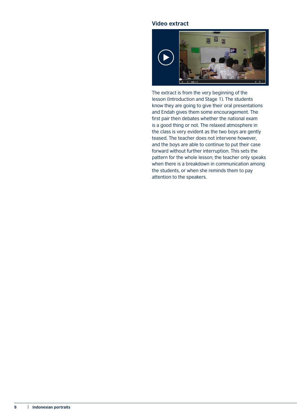#### **Video extract**



The extract is from the very beginning of the lesson (Introduction and Stage 1). The students know they are going to give their oral presentations and Endah gives them some encouragement. The first pair then debates whether the national exam is a good thing or not. The relaxed atmosphere in the class is very evident as the two boys are gently teased. The teacher does not intervene however, and the boys are able to continue to put their case forward without further interruption. This sets the pattern for the whole lesson; the teacher only speaks when there is a breakdown in communication among the students, or when she reminds them to pay attention to the speakers.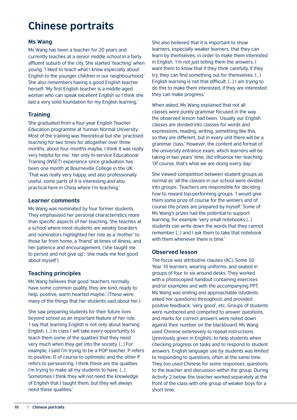# <span id="page-13-0"></span>**Chinese portraits**

#### **Ms Wang**

Ms Wang has been a teacher for 20 years and currently teaches at a senior middle school in a fairly affluent suburb of the city. She started 'teaching' when young: 'I liked to teach what I know especially about English to the younger children in our neighbourhood.' She also remembers having a good English teacher herself: 'My first English teacher is a middle-aged woman who can speak excellent English so I think she laid a very solid foundation for my English learning.'

#### **Training**

She graduated from a four-year English Teacher Education programme at Yunnan Normal University. Most of the training was theoretical but she 'practised teaching for two times for altogether over three months, about four months maybe, I think it was really very helpful for me.' Her only In-service Educational Training (INSET) experience since graduation has been one month at Bourneville College in the UK: 'That was really very happy, and also professionally useful, some parts of it is interesting and also practical here in China where I'm teaching.'

#### **Learner comments**

Ms Wang was nominated by four former students. They emphasised her personal characteristics more than specific aspects of her teaching. She teaches at a school where most students are weekly boarders and nominators highlighted her role as a 'mother' to those far from home, a 'friend' at times of illness, and her patience and encouragement, ('she taught me to persist and not give up'; 'she made me feel good about myself').

#### **Teaching principles**

Ms Wang believes that good 'teachers normally have some common quality, they are kind, ready to help, positive, warm hearted maybe.' (These were many of the things that her students said about her.)

She saw preparing students for their future lives beyond school as an important feature of her role. 'I say that learning English is not only about learning English. […] In class I will take every opportunity to teach them some of the qualities that they need very much when they get into the society. […] For example, I said I'm trying to be a POP teacher, P refers to positive, O of course to optimistic and the other P refers to persevering. I think these are the qualities I'm trying to make all my students to have. […] Sometimes I think they will not need the knowledge of English that I taught them, but they will always need these qualities.'

She also believed that it is important to show learners, especially weaker learners, that they can learn by themselves, in order to make them interested in English. 'I'm not just telling them the answers. I want them to know that if they think carefully, if they try, they can find something out for themselves. […] English learning is not that difficult. […] I am trying to do this to make them interested, if they are interested they can make progress.'

When asked, Ms Wang explained that not all classes were purely grammar focused in the way the observed lesson had been. 'Usually our English classes are divided into classes for words and expressions, reading, writing, something like this, so they are different, but in every unit there will be a grammar class.' However, the content and format of the university entrance exam, which learners will be taking in two years' time, did influence her teaching: 'Of course, that's what we are doing every day.'

She viewed competition between student groups as normal as 'all the classes in our school were divided into groups.' Teachers are responsible for deciding how to reward top-performing groups. 'I would give them some prize of course for the winners and of course the prizes are prepared by myself.' Some of Ms Wang's prizes had the potential to support learning, for example 'very small notebooks […] students can write down the words that they cannot remember […] and I ask them to take that notebook with them whenever there is time.'

#### **Observed lesson**

The focus was attributive clauses (AC). Some 50 Year 10 learners, wearing uniforms, and seated in groups of four to six around desks. They worked with a photocopied handout containing exercises and/or examples and with the accompanying PPT. Ms Wang was smiling and approachable (students asked her questions) throughout, and provided positive feedback: 'very good', etc. Groups of students were numbered and competed to answer questions, and marks for correct answers were noted down against their number on the blackboard. Ms Wang used Chinese extensively to repeat instructions (previously given in English), to help students when checking progress on tasks and to respond to student answers. English language use by students was limited to responding to questions, often at the same time. They too used Chinese for some responses, questions to the teacher and discussion within the group. During Activity 2 below, the teacher worked separately at the front of the class with one group of weaker boys for a short time.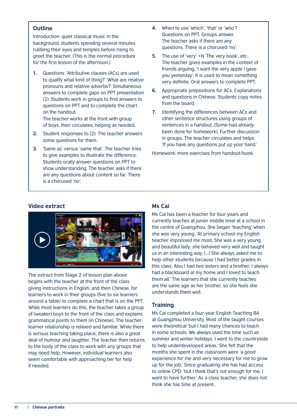#### **Outline**

Introduction: quiet classical music in the background, students spending several minutes rubbing their eyes and temples before rising to greet the teacher. (This is the normal procedure for the first lesson of the afternoon.)

**1.** Questions. 'Attributive clauses (ACs) are used to qualify what kind of thing?' 'What are relative pronouns and relative adverbs?' Simultaneous answers to complete gaps on PPT presentation (2). Students work in groups to find answers to questions on PPT and to complete the chart on the handout. The teacher works at the front with group

of boys, then circulates, helping as needed.

- **2.** Student responses to (2). The teacher answers some questions for them.
- **3.** 'Same as' versus 'same that'. The teacher tries to give examples to illustrate the difference. Students orally answer questions on PPT to show understanding. The teacher asks if there are any questions about content so far. There is a chorused 'no'.
- **4.** When to use 'which', 'that' or 'who'? Questions on PPT. Groups answer. The teacher asks if there are any questions. There is a chorused 'no'.
- **5.** The use of 'very' +N 'The very book', etc. The teacher gives examples in the context of friends arguing, 'I want the very apple I gave you yesterday'. It is used to mean something very definite. Oral answers to complete PPT.
- **6.** Appropriate prepositions for ACs. Explanations and questions in Chinese. Students copy notes from the board.
- **7.** Identifying the differences between ACs and other sentence structures using groups of sentences in a handout. (Some had already been done for homework). Further discussion in groups. The teacher circulates and helps: 'If you have any questions put up your hand.'

Homework: more exercises from handout/book.

#### **Video extract**



The extract from Stage 2 of lesson plan above begins with the teacher at the front of the class giving instructions in English, and then Chinese, for learners to work in their groups (five to six learners around a table) to complete a chart that is on the PPT. While most learners do this, the teacher takes a group of (weaker) boys to the front of the class and explains grammatical points to them (in Chinese). The teacherlearner relationship is relaxed and familiar. While there is serious teaching taking place, there is also a great deal of humour and laughter. The teacher then returns to the body of the class to work with any groups that may need help. However, individual learners also seem comfortable with approaching her for help if needed.

#### **Ms Cai**

Ms Cai has been a teacher for four years and currently teaches at junior middle level at a school in the centre of Guangzhou. She began 'teaching' when she was very young. 'At primary school my English teacher impressed me most. She was a very young and beautiful lady; she behaved very well and taught us in an interesting way. […] She always asked me to help other students because I had better grades in this class. Also I had two sisters and a brother. I always had a blackboard at my home and I loved to teach them all.' The learners that she currently teaches are the same age as her brother, so she feels she understands them well.

#### **Training**

Ms Cai completed a four-year English Teaching BA at Guangzhou University. Most of the taught courses were theoretical 'but I had many chances to teach in some schools. We always used the time such as summer and winter holidays. I went to the countryside to help underdeveloped areas.' She felt that the months she spent in the classroom were 'a good experience for me and very necessary for me to grow up for the job.' Since graduating she has had access to online CPD: 'but I think that's not enough for me. I want to have further.' As a class teacher, she does not think she has time at present.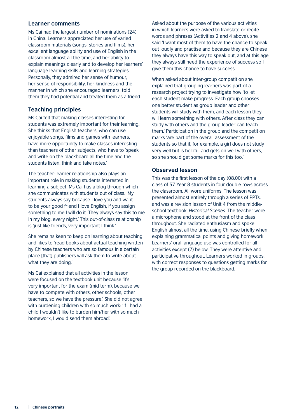#### **Learner comments**

Ms Cai had the largest number of nominations (24) in China. Learners appreciated her use of varied classroom materials (songs, stories and films), her excellent language ability and use of English in the classroom almost all the time, and her ability to explain meanings clearly and to develop her learners' language learning skills and learning strategies. Personally, they admired her sense of humour, her sense of responsibility, her kindness and the manner in which she encouraged learners, told them they had potential and treated them as a friend.

#### **Teaching principles**

Ms Cai felt that making classes interesting for students was extremely important for their learning. She thinks that English teachers, who can use enjoyable songs, films and games with learners, have more opportunity to make classes interesting than teachers of other subjects, who have to 'speak and write on the blackboard all the time and the students listen, think and take notes.'

The teacher-learner relationship also plays an important role in making students interested in learning a subject. Ms Cai has a blog through which she communicates with students out of class. 'My students always say because I love you and want to be your good friend I love English, if you assign something to me I will do it. They always say this to me in my blog, every night.' This out-of-class relationship is 'just like friends, very important I think.'

She remains keen to keep on learning about teaching and likes to 'read books about actual teaching written by Chinese teachers who are so famous in a certain place [that] publishers will ask them to write about what they are doing.'

Ms Cai explained that all activities in the lesson were focused on the textbook unit because 'it's very important for the exam (mid term), because we have to compete with others, other schools, other teachers, so we have the pressure.' She did not agree with burdening children with so much work: 'If I had a child I wouldn't like to burden him/her with so much homework, I would send them abroad.'

Asked about the purpose of the various activities in which learners were asked to translate or recite words and phrases (Activities 2 and 4 above), she said 'I want most of them to have the chance to speak out loudly and practise and because they are Chinese they always have this way to speak out, and at this age they always still need the experience of success so I give them this chance to have success.'

When asked about inter-group competition she explained that grouping learners was part of a research project trying to investigate how 'to let each student make progress. Each group chooses one better student as group leader and other students will study with them, and each lesson they will learn something with others. After class they can study with others and the group leader can teach them.' Participation in the group and the competition marks 'are part of the overall assessment of the students so that if, for example, a girl does not study very well but is helpful and gets on well with others, so she should get some marks for this too.'

#### **Observed lesson**

This was the first lesson of the day (08.00) with a class of 57 Year 8 students in four double rows across the classroom. All wore uniforms. The lesson was presented almost entirely through a series of PPTs, and was a revision lesson of Unit 4 from the middleschool textbook, *Historical Scenes*. The teacher wore a microphone and stood at the front of the class throughout. She radiated enthusiasm and spoke English almost all the time, using Chinese briefly when explaining grammatical points and giving homework. Learners' oral language use was controlled for all activities except (7) below. They were attentive and participative throughout. Learners worked in groups, with correct responses to questions getting marks for the group recorded on the blackboard.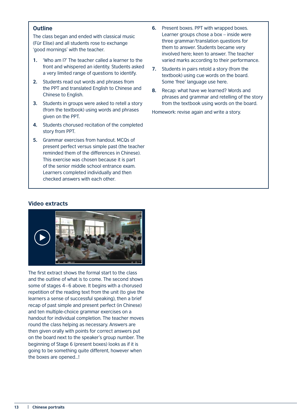#### **Outline**

The class began and ended with classical music (Für Elise) and all students rose to exchange 'good mornings' with the teacher.

- **1.** 'Who am I?' The teacher called a learner to the front and whispered an identity. Students asked a very limited range of questions to identify.
- **2.** Students read out words and phrases from the PPT and translated English to Chinese and Chinese to English.
- **3.** Students in groups were asked to retell a story (from the textbook) using words and phrases given on the PPT.
- **4.** Students chorused recitation of the completed story from PPT.
- **5.** Grammar exercises from handout. MCQs of present perfect versus simple past (the teacher reminded them of the differences in Chinese). This exercise was chosen because it is part of the senior middle school entrance exam. Learners completed individually and then checked answers with each other.
- **6.** Present boxes. PPT with wrapped boxes. Learner groups chose a box – inside were three grammar/translation questions for them to answer. Students became very involved here; keen to answer. The teacher varied marks according to their performance.
- **7.** Students in pairs retold a story (from the textbook) using cue words on the board. Some 'free' language use here.
- **8.** Recap: what have we learned? Words and phrases and grammar and retelling of the story from the textbook using words on the board.

Homework: revise again and write a story.

#### **Video extracts**



The first extract shows the formal start to the class and the outline of what is to come. The second shows some of stages 4–6 above. It begins with a chorused repetition of the reading text from the unit (to give the learners a sense of successful speaking), then a brief recap of past simple and present perfect (in Chinese) and ten multiple-choice grammar exercises on a handout for individual completion. The teacher moves round the class helping as necessary. Answers are then given orally with points for correct answers put on the board next to the speaker's group number. The beginning of Stage 6 (present boxes) looks as if it is going to be something quite different, however when the boxes are opened…!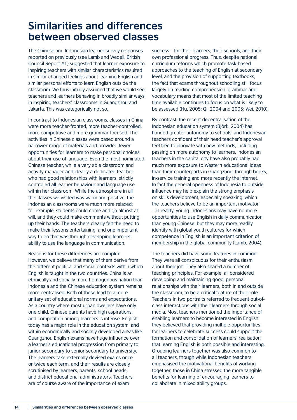### <span id="page-17-0"></span>**Similarities and differences between observed classes**

The Chinese and Indonesian learner survey responses reported on previously (see Lamb and Wedell, British Council Report #1) suggested that learner exposure to inspiring teachers with similar characteristics resulted in similar changed feelings about learning English and similar personal efforts to learn English outside the classroom. We thus initially assumed that we would see teachers and learners behaving in broadly similar ways in inspiring teachers' classrooms in Guangzhou and Jakarta. This was categorically not so.

In contrast to Indonesian classrooms, classes in China were more teacher-fronted, more teacher-controlled, more competitive and more grammar-focused. The activities in Chinese classes were based around a narrower range of materials and provided fewer opportunities for learners to make personal choices about their use of language. Even the most nominated Chinese teacher, while a very able classroom and activity manager and clearly a dedicated teacher who had good relationships with learners, strictly controlled all learner behaviour and language use within her classroom. While the atmosphere in all the classes we visited was warm and positive, the Indonesian classrooms were much more relaxed; for example, students could come and go almost at will, and they could make comments without putting up their hands. The teachers clearly felt the need to make their lessons entertaining, and one important way to do that was through developing learners' ability to use the language in communication.

Reasons for these differences are complex. However, we believe that many of them derive from the different political and social contexts within which English is taught in the two countries. China is an ethnically and socially more homogenous nation than Indonesia and the Chinese education system remains more centralised. Both of these lead to a more unitary set of educational norms and expectations. As a country where most urban dwellers have only one child, Chinese parents have high aspirations, and competition among learners is intense. English today has a major role in the education system, and within economically and socially developed areas like Guangzhou English exams have huge influence over a learner's educational progression from primary to junior secondary to senior secondary to university. The learners take externally devised exams once or twice each term, and their results are closely scrutinised by learners, parents, school heads, and district educational administrators. Teachers are of course aware of the importance of exam

success – for their learners, their schools, and their own professional progress. Thus, despite national curriculum reforms which promote task-based approaches to the teaching of English at secondary level, and the provision of supporting textbooks, the fact that exams throughout schooling still focus largely on reading comprehension, grammar and vocabulary means that most of the limited teaching time available continues to focus on what is likely to be assessed (Hu, 2005; Qi, 2004 and 2005; Wei, 2010).

By contrast, the recent decentralisation of the Indonesian education system (Björk, 2004) has handed greater autonomy to schools, and Indonesian teachers confident of their head teacher's approval feel free to innovate with new methods, including passing on more autonomy to learners. Indonesian teachers in the capital city have also probably had much more exposure to Western educational ideas than their counterparts in Guangzhou, through books, in-service training and more recently the internet. In fact the general openness of Indonesia to outside influence may help explain the strong emphasis on skills development, especially speaking, which the teachers believe to be an important motivator – in reality, young Indonesians may have no more opportunities to use English in daily communication than young Chinese, but they may more readily identify with global youth cultures for which competence in English is an important criterion of membership in the global community (Lamb, 2004).

The teachers did have some features in common. They were all conspicuous for their enthusiasm about their job. They also shared a number of teaching principles. For example, all considered developing and maintaining good, personal relationships with their learners, both in and outside the classroom, to be a critical feature of their role. Teachers in two portraits referred to frequent out-ofclass interactions with their learners through social media. Most teachers mentioned the importance of enabling learners to become interested in English: they believed that providing multiple opportunities for learners to celebrate success could support the formation and consolidation of learners' realisation that learning English is both possible and interesting. Grouping learners together was also common to all teachers, though while Indonesian teachers emphasised the motivational benefits of working together, those in China stressed the more tangible benefits for learning of encouraging learners to collaborate in mixed ability groups.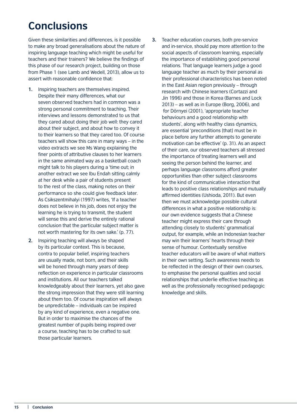## <span id="page-18-0"></span>**Conclusions**

Given these similarities and differences, is it possible to make any broad generalisations about the nature of inspiring language teaching which might be useful for teachers and their trainers? We believe the findings of this phase of our research project, building on those from Phase 1 (see Lamb and Wedell, 2013), allow us to assert with reasonable confidence that:

- **1.** Inspiring teachers are themselves inspired. Despite their many differences, what our seven observed teachers had in common was a strong personal commitment to teaching. Their interviews and lessons demonstrated to us that they cared about doing their job well: they cared about their subject, and about how to convey it to their learners so that they cared too. Of course teachers will show this care in many ways – in the video extracts we see Ms Wang explaining the finer points of attributive clauses to her learners in the same animated way as a basketball coach might talk to his players during a 'time out; in another extract we see Ibu Endah sitting calmly at her desk while a pair of students present to the rest of the class, making notes on their performance so she could give feedback later. As Csikszentmihalyi (1997) writes, 'If a teacher does not believe in his job, does not enjoy the learning he is trying to transmit, the student will sense this and derive the entirely rational conclusion that the particular subject matter is not worth mastering for its own sake.' (p. 77).
- **2.** Inspiring teaching will always be shaped by its particular context. This is because, contra to popular belief, inspiring teachers are usually made, not born, and their skills will be honed through many years of deep reflection on experience in particular classrooms and institutions. All our teachers talked knowledgeably about their learners, yet also gave the strong impression that they were still learning about them too. Of course inspiration will always be unpredictable – individuals can be inspired by any kind of experience, even a negative one. But in order to maximise the chances of the greatest number of pupils being inspired over a course, teaching has to be crafted to suit those particular learners.
- **3.** Teacher education courses, both pre-service and in-service, should pay more attention to the social aspects of classroom learning, especially the importance of establishing good personal relations. That language learners judge a good language teacher as much by their personal as their professional characteristics has been noted in the East Asian region previously – through research with Chinese learners (Cortazzi and Jin 1996) and those in Korea (Barnes and Lock 2013) – as well as in Europe (Borg, 2006), and for Dörnyei (2001), 'appropriate teacher behaviours and a good relationship with students', along with healthy class dynamics, are essential 'preconditions [that] must be in place before any further attempts to generate motivation can be effective' (p. 31). As an aspect of their care, our observed teachers all stressed the importance of treating learners well and seeing the person behind the learner, and perhaps language classrooms afford greater opportunities than other subject classrooms for the kind of communicative interaction that leads to positive class relationships and mutually affirmed identities (Ushioda, 2011). But even then we must acknowledge possible cultural differences in what a positive relationship is: our own evidence suggests that a Chinese teacher might express their care through attending closely to students' grammatical output, for example, while an Indonesian teacher may win their learners' hearts through their sense of humour. Contextually sensitive teacher educators will be aware of what matters in their own setting. Such awareness needs to be reflected in the design of their own courses, to emphasise the personal qualities and social relationships that underlie effective teaching as well as the professionally recognised pedagogic knowledge and skills.